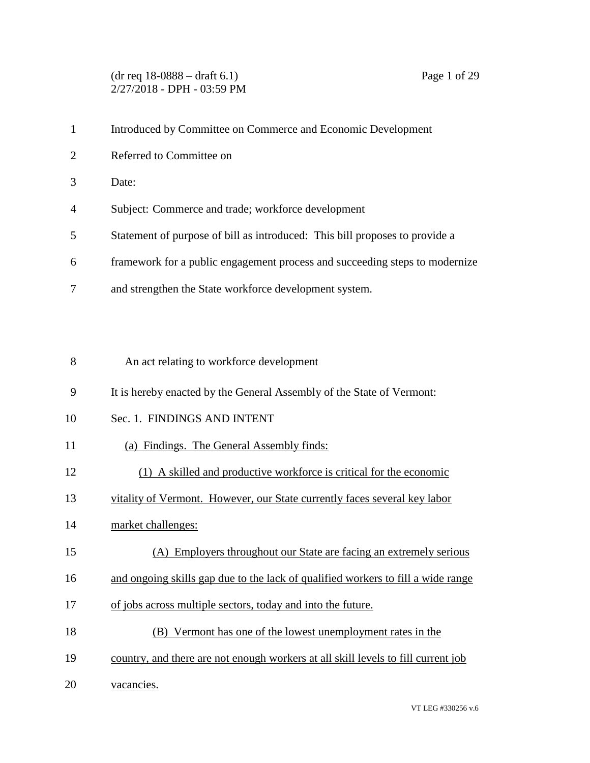(dr req 18-0888 – draft 6.1) Page 1 of 29 2/27/2018 - DPH - 03:59 PM

|                | Introduced by Committee on Commerce and Economic Development                |
|----------------|-----------------------------------------------------------------------------|
| 2              | Referred to Committee on                                                    |
| 3              | Date:                                                                       |
| $\overline{4}$ | Subject: Commerce and trade; workforce development                          |
| .5             | Statement of purpose of bill as introduced: This bill proposes to provide a |
| 6              | framework for a public engagement process and succeeding steps to modernize |
|                | and strengthen the State workforce development system.                      |

- An act relating to workforce development
- It is hereby enacted by the General Assembly of the State of Vermont:
- Sec. 1. FINDINGS AND INTENT
- (a) Findings. The General Assembly finds:
- (1) A skilled and productive workforce is critical for the economic
- vitality of Vermont. However, our State currently faces several key labor
- market challenges:
- (A) Employers throughout our State are facing an extremely serious
- and ongoing skills gap due to the lack of qualified workers to fill a wide range
- 17 of jobs across multiple sectors, today and into the future.
- (B) Vermont has one of the lowest unemployment rates in the
- country, and there are not enough workers at all skill levels to fill current job
- vacancies.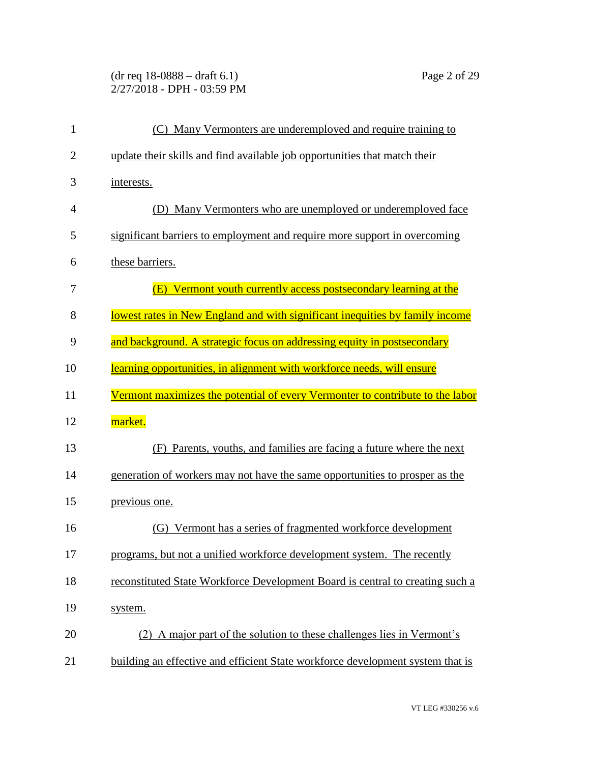(dr req 18-0888 – draft 6.1) Page 2 of 29 2/27/2018 - DPH - 03:59 PM

| $\mathbf{1}$   | (C) Many Vermonters are underemployed and require training to                  |
|----------------|--------------------------------------------------------------------------------|
| $\overline{2}$ | update their skills and find available job opportunities that match their      |
| 3              | interests.                                                                     |
| 4              | (D) Many Vermonters who are unemployed or underemployed face                   |
| 5              | significant barriers to employment and require more support in overcoming      |
| 6              | these barriers.                                                                |
| 7              | (E) Vermont youth currently access postsecondary learning at the               |
| 8              | lowest rates in New England and with significant inequities by family income   |
| 9              | and background. A strategic focus on addressing equity in postsecondary        |
| 10             | learning opportunities, in alignment with workforce needs, will ensure         |
| 11             | Vermont maximizes the potential of every Vermonter to contribute to the labor  |
| 12             | market.                                                                        |
| 13             | Parents, youths, and families are facing a future where the next<br>(F)        |
| 14             | generation of workers may not have the same opportunities to prosper as the    |
| 15             | previous one.                                                                  |
| 16             | (G) Vermont has a series of fragmented workforce development                   |
| 17             | programs, but not a unified workforce development system. The recently         |
| 18             | reconstituted State Workforce Development Board is central to creating such a  |
| 19             | system.                                                                        |
| 20             | (2) A major part of the solution to these challenges lies in Vermont's         |
| 21             | building an effective and efficient State workforce development system that is |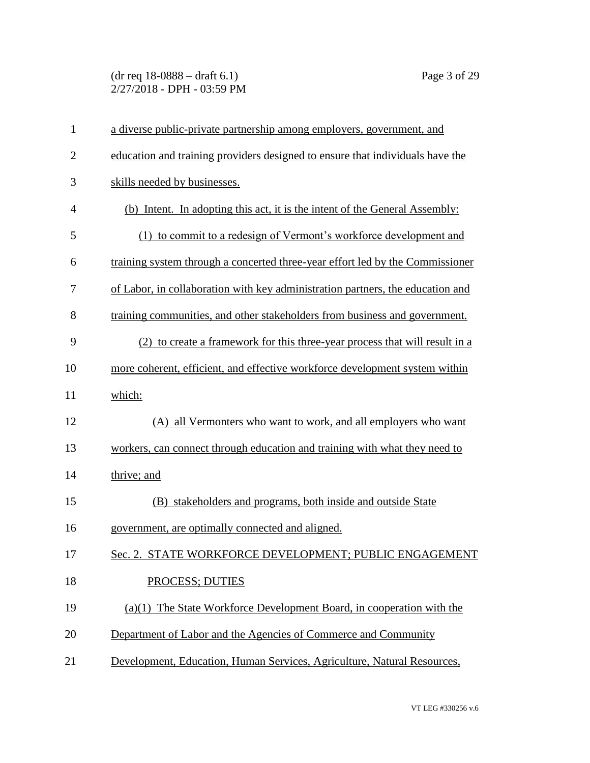(dr req 18-0888 – draft 6.1) Page 3 of 29 2/27/2018 - DPH - 03:59 PM

| $\mathbf{1}$   | a diverse public-private partnership among employers, government, and          |
|----------------|--------------------------------------------------------------------------------|
| $\overline{2}$ | education and training providers designed to ensure that individuals have the  |
| 3              | skills needed by businesses.                                                   |
| $\overline{4}$ | (b) Intent. In adopting this act, it is the intent of the General Assembly:    |
| 5              | (1) to commit to a redesign of Vermont's workforce development and             |
| 6              | training system through a concerted three-year effort led by the Commissioner  |
| 7              | of Labor, in collaboration with key administration partners, the education and |
| 8              | training communities, and other stakeholders from business and government.     |
| 9              | (2) to create a framework for this three-year process that will result in a    |
| 10             | more coherent, efficient, and effective workforce development system within    |
| 11             | which:                                                                         |
| 12             | (A) all Vermonters who want to work, and all employers who want                |
| 13             | workers, can connect through education and training with what they need to     |
| 14             | thrive; and                                                                    |
| 15             | (B) stakeholders and programs, both inside and outside State                   |
| 16             | government, are optimally connected and aligned.                               |
| 17             | Sec. 2. STATE WORKFORCE DEVELOPMENT: PUBLIC ENGAGEMENT                         |
| 18             | PROCESS; DUTIES                                                                |
| 19             | (a)(1) The State Workforce Development Board, in cooperation with the          |
| 20             | Department of Labor and the Agencies of Commerce and Community                 |
| 21             | Development, Education, Human Services, Agriculture, Natural Resources,        |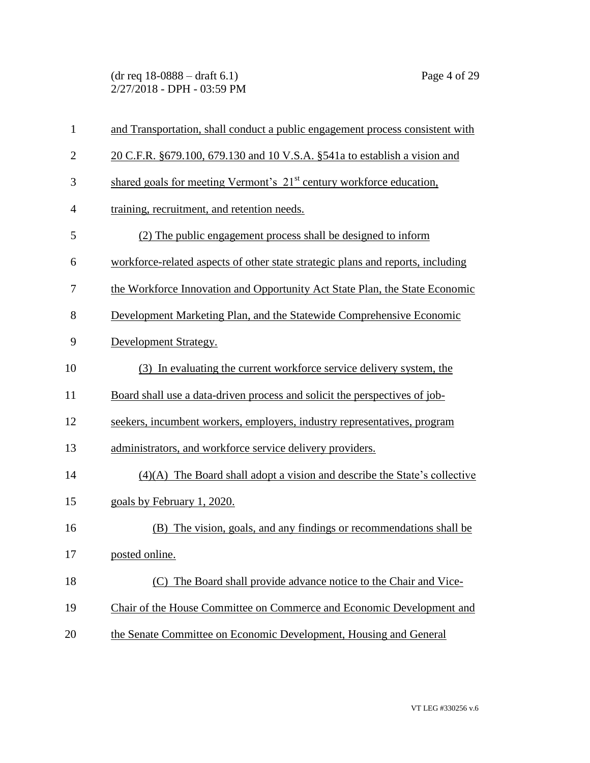(dr req 18-0888 – draft 6.1) Page 4 of 29 2/27/2018 - DPH - 03:59 PM

| $\mathbf{1}$   | and Transportation, shall conduct a public engagement process consistent with    |
|----------------|----------------------------------------------------------------------------------|
| $\overline{2}$ | 20 C.F.R. §679.100, 679.130 and 10 V.S.A. §541a to establish a vision and        |
| 3              | shared goals for meeting Vermont's 21 <sup>st</sup> century workforce education, |
| $\overline{4}$ | training, recruitment, and retention needs.                                      |
| 5              | (2) The public engagement process shall be designed to inform                    |
| 6              | workforce-related aspects of other state strategic plans and reports, including  |
| 7              | the Workforce Innovation and Opportunity Act State Plan, the State Economic      |
| 8              | Development Marketing Plan, and the Statewide Comprehensive Economic             |
| 9              | Development Strategy.                                                            |
| 10             | (3) In evaluating the current workforce service delivery system, the             |
| 11             | Board shall use a data-driven process and solicit the perspectives of job-       |
| 12             | seekers, incumbent workers, employers, industry representatives, program         |
| 13             | administrators, and workforce service delivery providers.                        |
| 14             | $(4)(A)$ The Board shall adopt a vision and describe the State's collective      |
| 15             | goals by February 1, 2020.                                                       |
| 16             | The vision, goals, and any findings or recommendations shall be<br>(B)           |
| 17             | posted online.                                                                   |
| 18             | The Board shall provide advance notice to the Chair and Vice-<br>(C)             |
| 19             | Chair of the House Committee on Commerce and Economic Development and            |
| 20             | the Senate Committee on Economic Development, Housing and General                |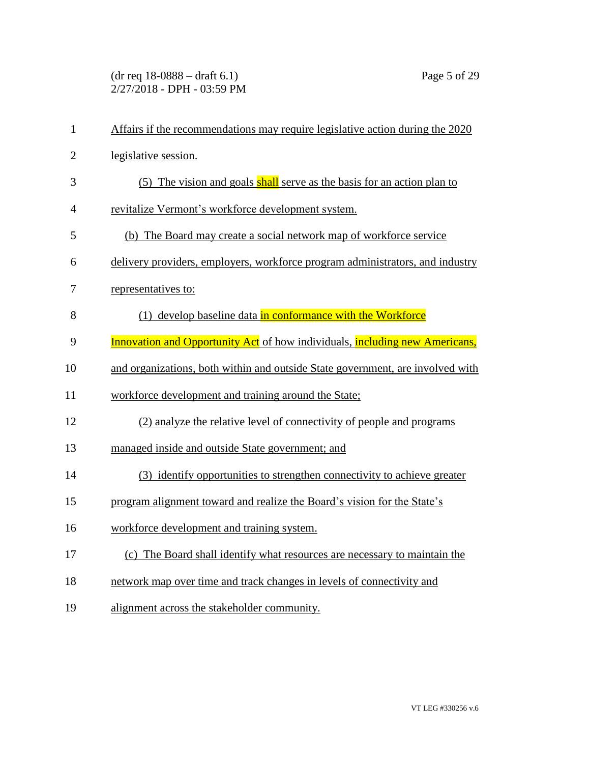(dr req 18-0888 – draft 6.1) Page 5 of 29 2/27/2018 - DPH - 03:59 PM

| $\mathbf{1}$   | Affairs if the recommendations may require legislative action during the 2020              |
|----------------|--------------------------------------------------------------------------------------------|
| $\overline{2}$ | legislative session.                                                                       |
| 3              | (5) The vision and goals shall serve as the basis for an action plan to                    |
| $\overline{4}$ | revitalize Vermont's workforce development system.                                         |
| 5              | (b) The Board may create a social network map of workforce service                         |
| 6              | delivery providers, employers, workforce program administrators, and industry              |
| 7              | representatives to:                                                                        |
| 8              | (1) develop baseline data in conformance with the Workforce                                |
| 9              | <b>Innovation and Opportunity Act</b> of how individuals, <b>including new Americans</b> , |
| 10             | and organizations, both within and outside State government, are involved with             |
| 11             | workforce development and training around the State;                                       |
| 12             | (2) analyze the relative level of connectivity of people and programs                      |
| 13             | managed inside and outside State government; and                                           |
| 14             | (3) identify opportunities to strengthen connectivity to achieve greater                   |
| 15             | program alignment toward and realize the Board's vision for the State's                    |
| 16             | workforce development and training system.                                                 |
| 17             | (c) The Board shall identify what resources are necessary to maintain the                  |
| 18             | network map over time and track changes in levels of connectivity and                      |
| 19             | alignment across the stakeholder community.                                                |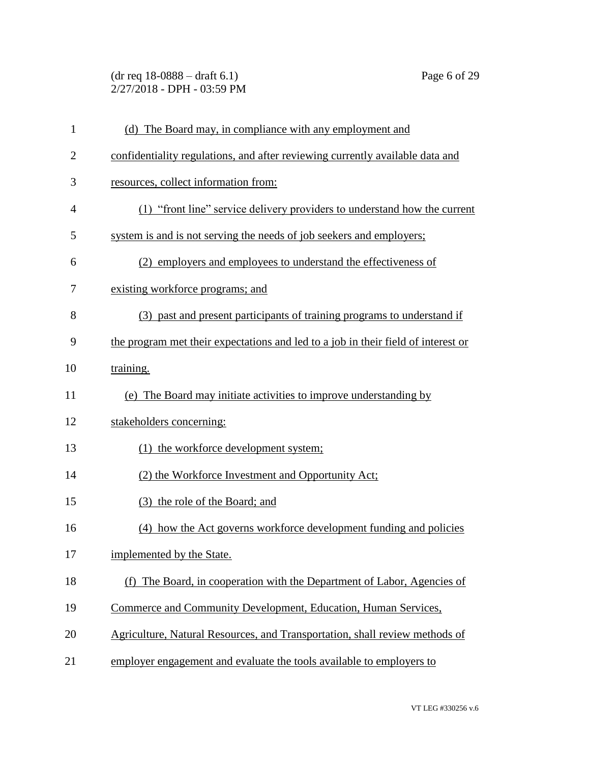(dr req 18-0888 – draft 6.1) Page 6 of 29 2/27/2018 - DPH - 03:59 PM

| $\mathbf{1}$   | (d) The Board may, in compliance with any employment and                          |
|----------------|-----------------------------------------------------------------------------------|
| $\overline{2}$ | confidentiality regulations, and after reviewing currently available data and     |
| 3              | resources, collect information from:                                              |
| $\overline{4}$ | (1) "front line" service delivery providers to understand how the current         |
| 5              | system is and is not serving the needs of job seekers and employers;              |
| 6              | (2) employers and employees to understand the effectiveness of                    |
| 7              | existing workforce programs; and                                                  |
| 8              | (3) past and present participants of training programs to understand if           |
| 9              | the program met their expectations and led to a job in their field of interest or |
| 10             | training.                                                                         |
| 11             | (e) The Board may initiate activities to improve understanding by                 |
| 12             | stakeholders concerning:                                                          |
| 13             | (1) the workforce development system;                                             |
| 14             | (2) the Workforce Investment and Opportunity Act;                                 |
| 15             | (3) the role of the Board; and                                                    |
| 16             | (4) how the Act governs workforce development funding and policies                |
| 17             | implemented by the State.                                                         |
| 18             | (f) The Board, in cooperation with the Department of Labor, Agencies of           |
| 19             | Commerce and Community Development, Education, Human Services,                    |
| 20             | Agriculture, Natural Resources, and Transportation, shall review methods of       |
| 21             | employer engagement and evaluate the tools available to employers to              |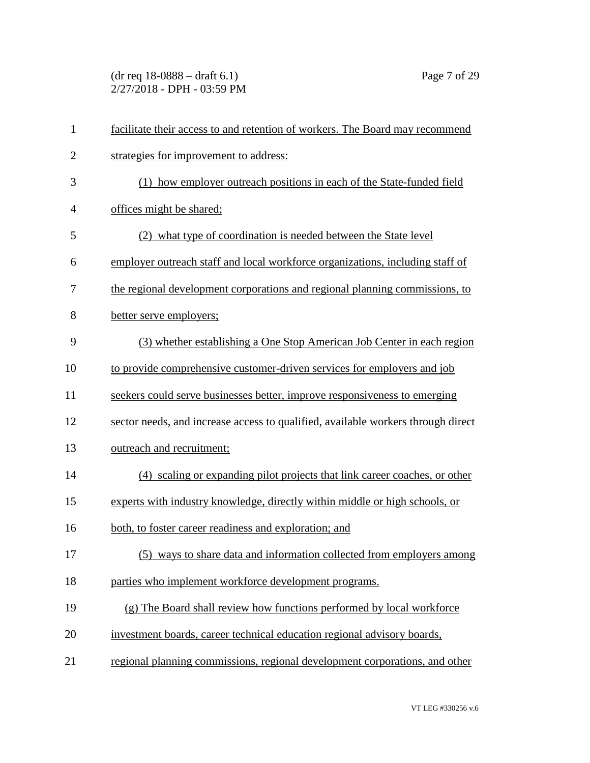(dr req 18-0888 – draft 6.1) Page 7 of 29 2/27/2018 - DPH - 03:59 PM

| $\mathbf{1}$   | facilitate their access to and retention of workers. The Board may recommend     |
|----------------|----------------------------------------------------------------------------------|
| $\overline{2}$ | strategies for improvement to address:                                           |
| 3              | (1) how employer outreach positions in each of the State-funded field            |
| $\overline{4}$ | offices might be shared;                                                         |
| 5              | (2) what type of coordination is needed between the State level                  |
| 6              | employer outreach staff and local workforce organizations, including staff of    |
| 7              | the regional development corporations and regional planning commissions, to      |
| 8              | better serve employers;                                                          |
| 9              | (3) whether establishing a One Stop American Job Center in each region           |
| 10             | to provide comprehensive customer-driven services for employers and job          |
| 11             | seekers could serve businesses better, improve responsiveness to emerging        |
| 12             | sector needs, and increase access to qualified, available workers through direct |
| 13             | outreach and recruitment;                                                        |
| 14             | (4) scaling or expanding pilot projects that link career coaches, or other       |
| 15             | experts with industry knowledge, directly within middle or high schools, or      |
| 16             | both, to foster career readiness and exploration; and                            |
| 17             | (5) ways to share data and information collected from employers among            |
| 18             | parties who implement workforce development programs.                            |
| 19             | (g) The Board shall review how functions performed by local workforce            |
| 20             | investment boards, career technical education regional advisory boards,          |
| 21             | regional planning commissions, regional development corporations, and other      |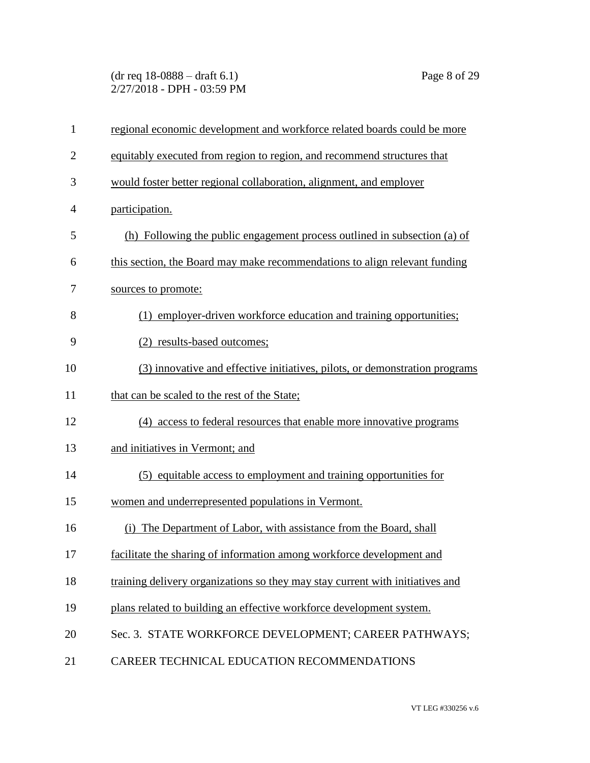(dr req 18-0888 – draft 6.1) Page 8 of 29 2/27/2018 - DPH - 03:59 PM

| $\mathbf{1}$   | regional economic development and workforce related boards could be more      |
|----------------|-------------------------------------------------------------------------------|
| $\overline{2}$ | equitably executed from region to region, and recommend structures that       |
| 3              | would foster better regional collaboration, alignment, and employer           |
| $\overline{4}$ | participation.                                                                |
| 5              | (h) Following the public engagement process outlined in subsection (a) of     |
| 6              | this section, the Board may make recommendations to align relevant funding    |
| 7              | sources to promote:                                                           |
| 8              | (1) employer-driven workforce education and training opportunities;           |
| 9              | (2) results-based outcomes;                                                   |
| 10             | (3) innovative and effective initiatives, pilots, or demonstration programs   |
| 11             | that can be scaled to the rest of the State;                                  |
| 12             | (4) access to federal resources that enable more innovative programs          |
| 13             | and initiatives in Vermont; and                                               |
| 14             | (5) equitable access to employment and training opportunities for             |
| 15             | women and underrepresented populations in Vermont.                            |
| 16             | The Department of Labor, with assistance from the Board, shall<br>(i)         |
| 17             | facilitate the sharing of information among workforce development and         |
| 18             | training delivery organizations so they may stay current with initiatives and |
| 19             | plans related to building an effective workforce development system.          |
| 20             | Sec. 3. STATE WORKFORCE DEVELOPMENT; CAREER PATHWAYS;                         |
| 21             | CAREER TECHNICAL EDUCATION RECOMMENDATIONS                                    |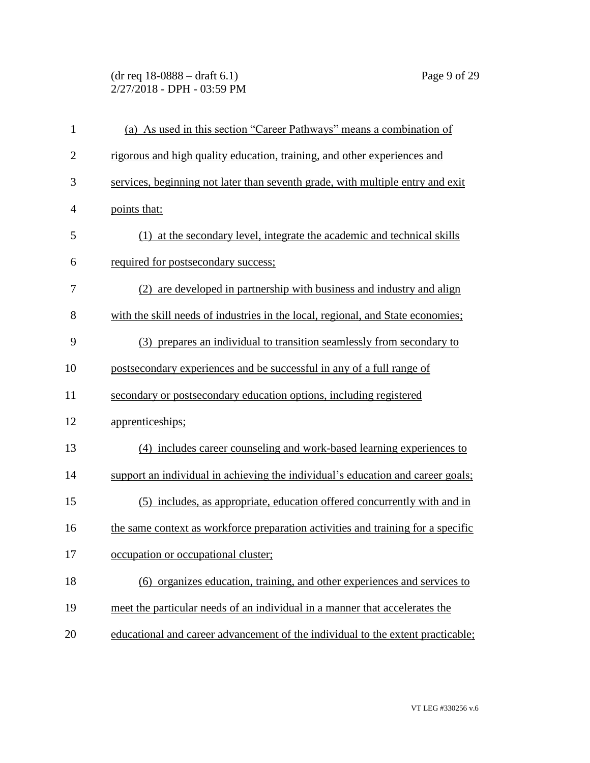(dr req 18-0888 – draft 6.1) Page 9 of 29 2/27/2018 - DPH - 03:59 PM

| $\mathbf{1}$   | (a) As used in this section "Career Pathways" means a combination of             |
|----------------|----------------------------------------------------------------------------------|
| $\overline{2}$ | rigorous and high quality education, training, and other experiences and         |
| 3              | services, beginning not later than seventh grade, with multiple entry and exit   |
| $\overline{4}$ | points that:                                                                     |
| 5              | (1) at the secondary level, integrate the academic and technical skills          |
| 6              | required for postsecondary success;                                              |
| 7              | (2) are developed in partnership with business and industry and align            |
| 8              | with the skill needs of industries in the local, regional, and State economies;  |
| 9              | (3) prepares an individual to transition seamlessly from secondary to            |
| 10             | postsecondary experiences and be successful in any of a full range of            |
| 11             | secondary or postsecondary education options, including registered               |
| 12             | apprenticeships;                                                                 |
| 13             | (4) includes career counseling and work-based learning experiences to            |
| 14             | support an individual in achieving the individual's education and career goals;  |
| 15             | (5) includes, as appropriate, education offered concurrently with and in         |
| 16             | the same context as workforce preparation activities and training for a specific |
| 17             | occupation or occupational cluster;                                              |
| 18             | (6) organizes education, training, and other experiences and services to         |
| 19             | meet the particular needs of an individual in a manner that accelerates the      |
| 20             | educational and career advancement of the individual to the extent practicable;  |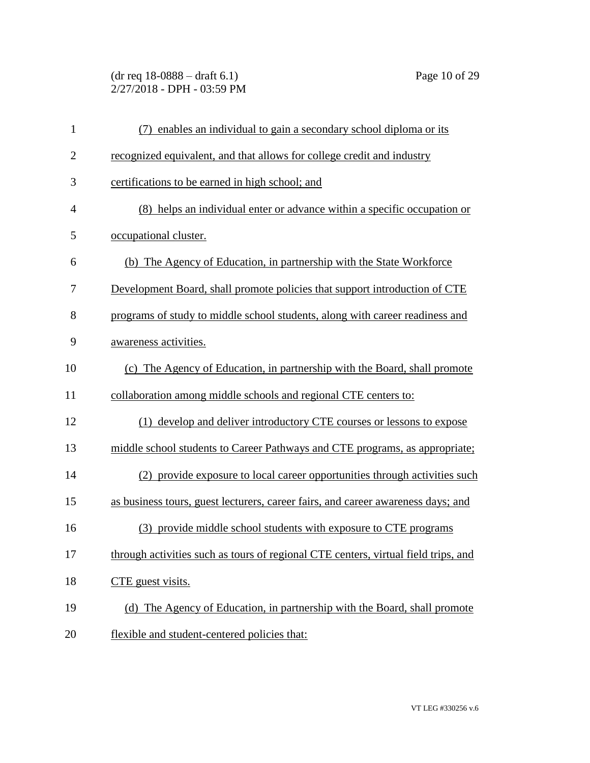(dr req 18-0888 – draft 6.1) Page 10 of 29 2/27/2018 - DPH - 03:59 PM

| $\mathbf{1}$   | (7) enables an individual to gain a secondary school diploma or its                |
|----------------|------------------------------------------------------------------------------------|
| $\overline{2}$ | recognized equivalent, and that allows for college credit and industry             |
| 3              | certifications to be earned in high school; and                                    |
| $\overline{4}$ | (8) helps an individual enter or advance within a specific occupation or           |
| 5              | occupational cluster.                                                              |
| 6              | (b) The Agency of Education, in partnership with the State Workforce               |
| 7              | Development Board, shall promote policies that support introduction of CTE         |
| 8              | programs of study to middle school students, along with career readiness and       |
| 9              | awareness activities.                                                              |
| 10             | (c) The Agency of Education, in partnership with the Board, shall promote          |
| 11             | collaboration among middle schools and regional CTE centers to:                    |
| 12             | (1) develop and deliver introductory CTE courses or lessons to expose              |
| 13             | middle school students to Career Pathways and CTE programs, as appropriate;        |
| 14             | (2) provide exposure to local career opportunities through activities such         |
| 15             | as business tours, guest lecturers, career fairs, and career awareness days; and   |
| 16             | (3) provide middle school students with exposure to CTE programs                   |
| 17             | through activities such as tours of regional CTE centers, virtual field trips, and |
| 18             | CTE guest visits.                                                                  |
| 19             | (d) The Agency of Education, in partnership with the Board, shall promote          |
| 20             | flexible and student-centered policies that:                                       |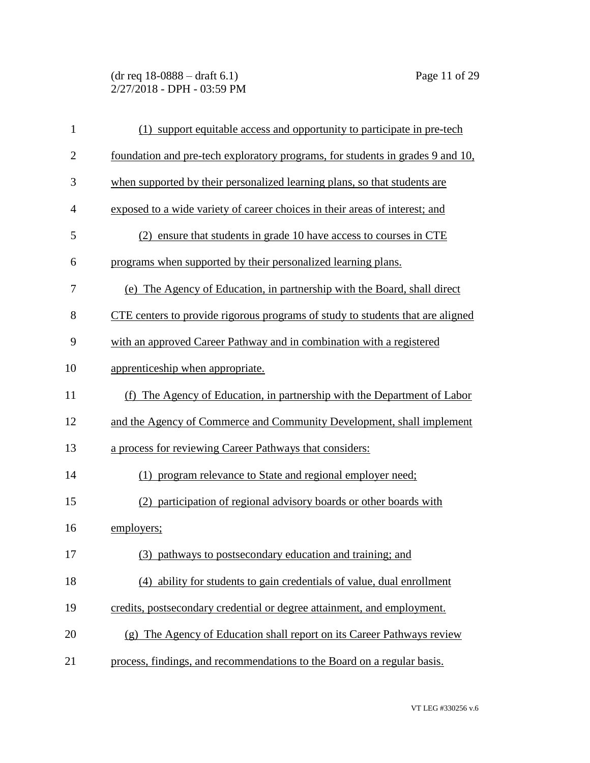(dr req 18-0888 – draft 6.1) Page 11 of 29 2/27/2018 - DPH - 03:59 PM

| $\mathbf{1}$   | support equitable access and opportunity to participate in pre-tech<br>(1)     |
|----------------|--------------------------------------------------------------------------------|
| $\overline{2}$ | foundation and pre-tech exploratory programs, for students in grades 9 and 10, |
| 3              | when supported by their personalized learning plans, so that students are      |
| 4              | exposed to a wide variety of career choices in their areas of interest; and    |
| 5              | (2) ensure that students in grade 10 have access to courses in CTE             |
| 6              | programs when supported by their personalized learning plans.                  |
| 7              | (e) The Agency of Education, in partnership with the Board, shall direct       |
| 8              | CTE centers to provide rigorous programs of study to students that are aligned |
| 9              | with an approved Career Pathway and in combination with a registered           |
| 10             | apprenticeship when appropriate.                                               |
| 11             | (f) The Agency of Education, in partnership with the Department of Labor       |
| 12             | and the Agency of Commerce and Community Development, shall implement          |
| 13             | a process for reviewing Career Pathways that considers:                        |
| 14             | (1) program relevance to State and regional employer need;                     |
| 15             | (2) participation of regional advisory boards or other boards with             |
| 16             | employers;                                                                     |
| 17             | (3) pathways to postsecondary education and training; and                      |
| 18             | ability for students to gain credentials of value, dual enrollment<br>(4)      |
| 19             | credits, postsecondary credential or degree attainment, and employment.        |
| 20             | (g) The Agency of Education shall report on its Career Pathways review         |
| 21             | process, findings, and recommendations to the Board on a regular basis.        |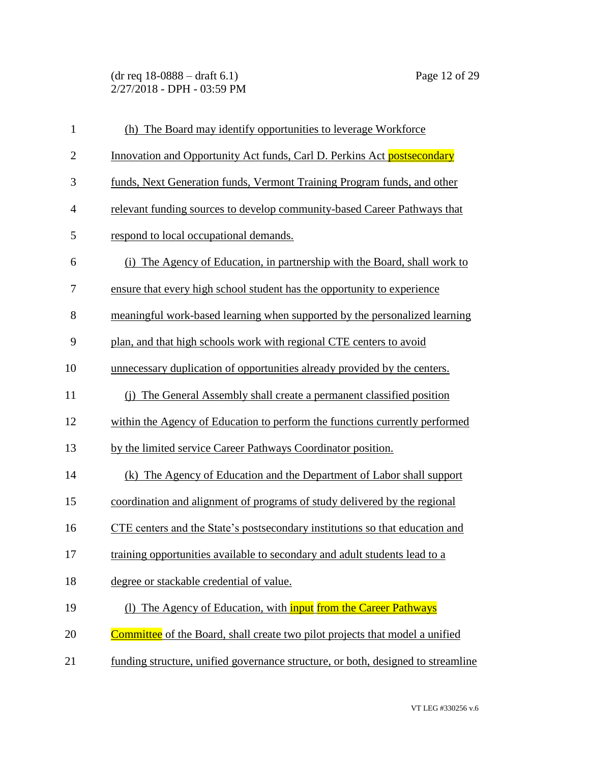(dr req 18-0888 – draft 6.1) Page 12 of 29 2/27/2018 - DPH - 03:59 PM

| $\mathbf{1}$   | (h) The Board may identify opportunities to leverage Workforce                      |
|----------------|-------------------------------------------------------------------------------------|
| $\overline{2}$ | Innovation and Opportunity Act funds, Carl D. Perkins Act postsecondary             |
| 3              | funds, Next Generation funds, Vermont Training Program funds, and other             |
| $\overline{4}$ | relevant funding sources to develop community-based Career Pathways that            |
| 5              | respond to local occupational demands.                                              |
| 6              | (i) The Agency of Education, in partnership with the Board, shall work to           |
| 7              | ensure that every high school student has the opportunity to experience             |
| 8              | meaningful work-based learning when supported by the personalized learning          |
| 9              | plan, and that high schools work with regional CTE centers to avoid                 |
| 10             | unnecessary duplication of opportunities already provided by the centers.           |
| 11             | (i) The General Assembly shall create a permanent classified position               |
| 12             | within the Agency of Education to perform the functions currently performed         |
| 13             | by the limited service Career Pathways Coordinator position.                        |
| 14             | (k) The Agency of Education and the Department of Labor shall support               |
| 15             | coordination and alignment of programs of study delivered by the regional           |
| 16             | CTE centers and the State's postsecondary institutions so that education and        |
| 17             | training opportunities available to secondary and adult students lead to a          |
| 18             | degree or stackable credential of value.                                            |
| 19             | (1) The Agency of Education, with <b>input</b> from the Career Pathways             |
| 20             | <b>Committee</b> of the Board, shall create two pilot projects that model a unified |
| 21             | funding structure, unified governance structure, or both, designed to streamline    |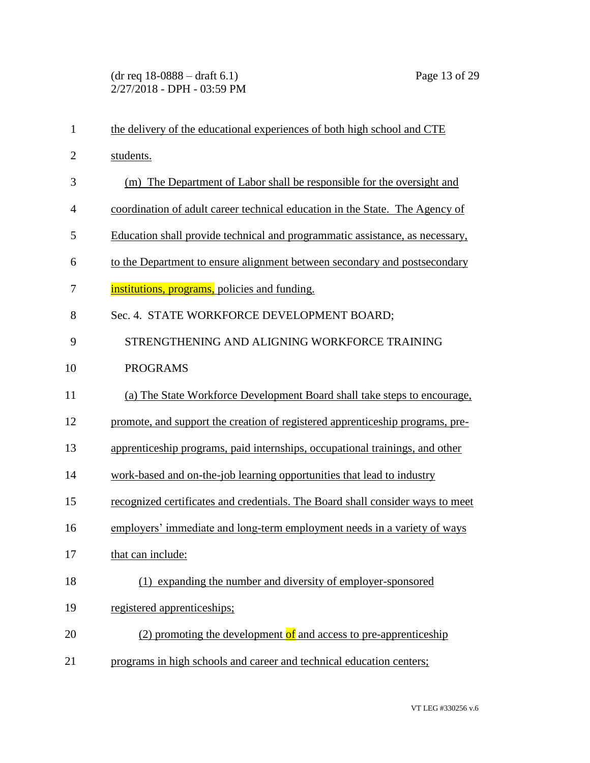| $\mathbf{1}$   | the delivery of the educational experiences of both high school and CTE        |
|----------------|--------------------------------------------------------------------------------|
| $\overline{2}$ | students.                                                                      |
| 3              | (m) The Department of Labor shall be responsible for the oversight and         |
| 4              | coordination of adult career technical education in the State. The Agency of   |
| 5              | Education shall provide technical and programmatic assistance, as necessary,   |
| 6              | to the Department to ensure alignment between secondary and postsecondary      |
| 7              | institutions, programs, policies and funding.                                  |
| 8              | Sec. 4. STATE WORKFORCE DEVELOPMENT BOARD;                                     |
| 9              | STRENGTHENING AND ALIGNING WORKFORCE TRAINING                                  |
| 10             | <b>PROGRAMS</b>                                                                |
| 11             | (a) The State Workforce Development Board shall take steps to encourage,       |
| 12             | promote, and support the creation of registered apprenticeship programs, pre-  |
| 13             | apprenticeship programs, paid internships, occupational trainings, and other   |
| 14             | work-based and on-the-job learning opportunities that lead to industry         |
| 15             | recognized certificates and credentials. The Board shall consider ways to meet |
| 16             | employers' immediate and long-term employment needs in a variety of ways       |
| 17             | that can include:                                                              |
| 18             | (1) expanding the number and diversity of employer-sponsored                   |
| 19             | registered apprenticeships;                                                    |
| 20             | (2) promoting the development of and access to pre-apprenticeship              |
| 21             | programs in high schools and career and technical education centers;           |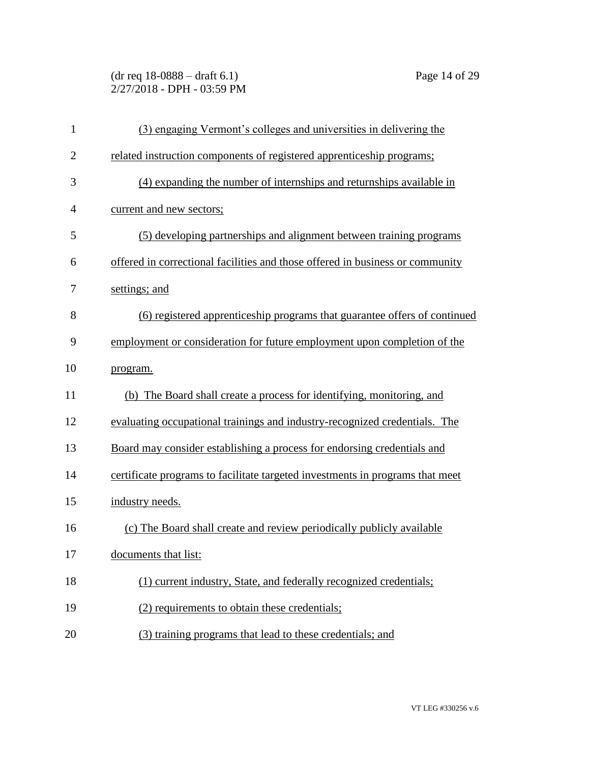(dr req 18-0888 – draft 6.1) Page 14 of 29 2/27/2018 - DPH - 03:59 PM

| $\mathbf{1}$ | (3) engaging Vermont's colleges and universities in delivering the            |
|--------------|-------------------------------------------------------------------------------|
| $\mathbf{2}$ | related instruction components of registered apprenticeship programs;         |
| 3            | (4) expanding the number of internships and returnships available in          |
| 4            | current and new sectors;                                                      |
| 5            | (5) developing partnerships and alignment between training programs           |
| 6            | offered in correctional facilities and those offered in business or community |
| 7            | settings; and                                                                 |
| 8            | (6) registered apprenticeship programs that guarantee offers of continued     |
| 9            | employment or consideration for future employment upon completion of the      |
| 10           | program.                                                                      |
| 11           | (b) The Board shall create a process for identifying, monitoring, and         |
| 12           | evaluating occupational trainings and industry-recognized credentials. The    |
| 13           | Board may consider establishing a process for endorsing credentials and       |
| 14           | certificate programs to facilitate targeted investments in programs that meet |
| 15           | industry needs.                                                               |
| 16           | (c) The Board shall create and review periodically publicly available         |
| 17           | documents that list:                                                          |
| 18           | (1) current industry, State, and federally recognized credentials;            |
| 19           | (2) requirements to obtain these credentials;                                 |
| 20           | (3) training programs that lead to these credentials; and                     |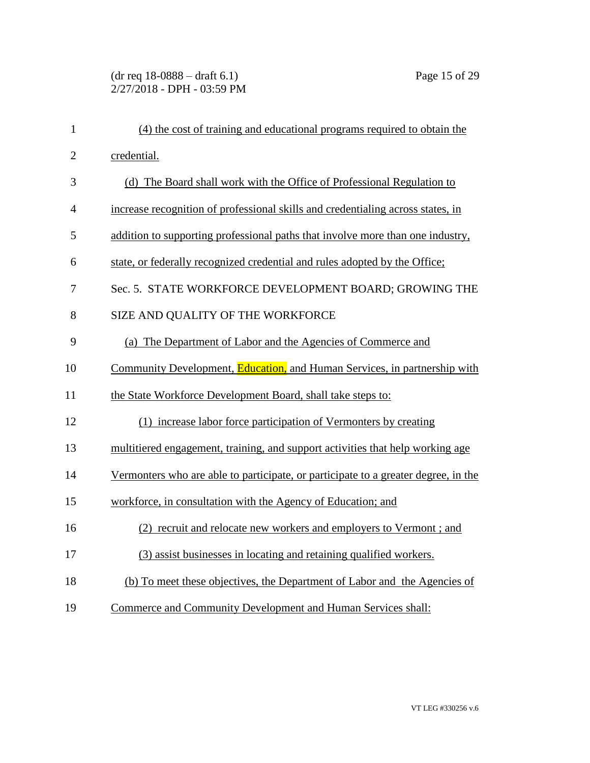## (dr req 18-0888 – draft 6.1) Page 15 of 29 2/27/2018 - DPH - 03:59 PM

| $\mathbf{1}$   | (4) the cost of training and educational programs required to obtain the           |
|----------------|------------------------------------------------------------------------------------|
| $\overline{2}$ | credential.                                                                        |
| 3              | (d) The Board shall work with the Office of Professional Regulation to             |
| $\overline{4}$ | increase recognition of professional skills and credentialing across states, in    |
| 5              | addition to supporting professional paths that involve more than one industry,     |
| 6              | state, or federally recognized credential and rules adopted by the Office;         |
| 7              | Sec. 5. STATE WORKFORCE DEVELOPMENT BOARD; GROWING THE                             |
| 8              | SIZE AND QUALITY OF THE WORKFORCE                                                  |
| 9              | (a) The Department of Labor and the Agencies of Commerce and                       |
| 10             | Community Development, Education, and Human Services, in partnership with          |
| 11             | the State Workforce Development Board, shall take steps to:                        |
| 12             | (1) increase labor force participation of Vermonters by creating                   |
| 13             | multitiered engagement, training, and support activities that help working age     |
| 14             | Vermonters who are able to participate, or participate to a greater degree, in the |
| 15             | workforce, in consultation with the Agency of Education; and                       |
| 16             | (2) recruit and relocate new workers and employers to Vermont; and                 |
| 17             | (3) assist businesses in locating and retaining qualified workers.                 |
| 18             | (b) To meet these objectives, the Department of Labor and the Agencies of          |
| 19             | Commerce and Community Development and Human Services shall:                       |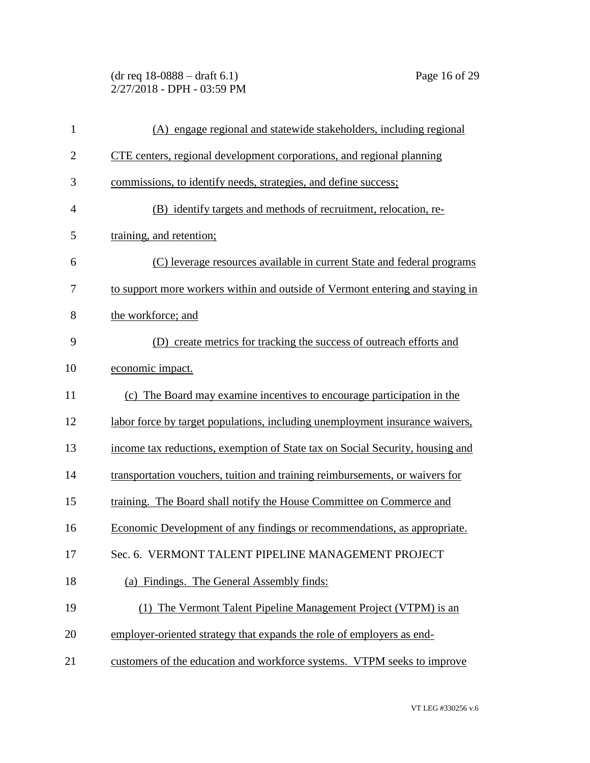(dr req 18-0888 – draft 6.1) Page 16 of 29 2/27/2018 - DPH - 03:59 PM

| $\mathbf{1}$   | (A) engage regional and statewide stakeholders, including regional            |
|----------------|-------------------------------------------------------------------------------|
| $\overline{2}$ | CTE centers, regional development corporations, and regional planning         |
| 3              | commissions, to identify needs, strategies, and define success;               |
| $\overline{4}$ | (B) identify targets and methods of recruitment, relocation, re-              |
| 5              | training, and retention;                                                      |
| 6              | (C) leverage resources available in current State and federal programs        |
| 7              | to support more workers within and outside of Vermont entering and staying in |
| 8              | the workforce; and                                                            |
| 9              | (D) create metrics for tracking the success of outreach efforts and           |
| 10             | economic impact.                                                              |
| 11             | (c) The Board may examine incentives to encourage participation in the        |
| 12             | labor force by target populations, including unemployment insurance waivers,  |
| 13             | income tax reductions, exemption of State tax on Social Security, housing and |
| 14             | transportation vouchers, tuition and training reimbursements, or waivers for  |
| 15             | training. The Board shall notify the House Committee on Commerce and          |
| 16             | Economic Development of any findings or recommendations, as appropriate.      |
| 17             | Sec. 6. VERMONT TALENT PIPELINE MANAGEMENT PROJECT                            |
| 18             | (a) Findings. The General Assembly finds:                                     |
| 19             | (1) The Vermont Talent Pipeline Management Project (VTPM) is an               |
| 20             | employer-oriented strategy that expands the role of employers as end-         |
| 21             | customers of the education and workforce systems. VTPM seeks to improve       |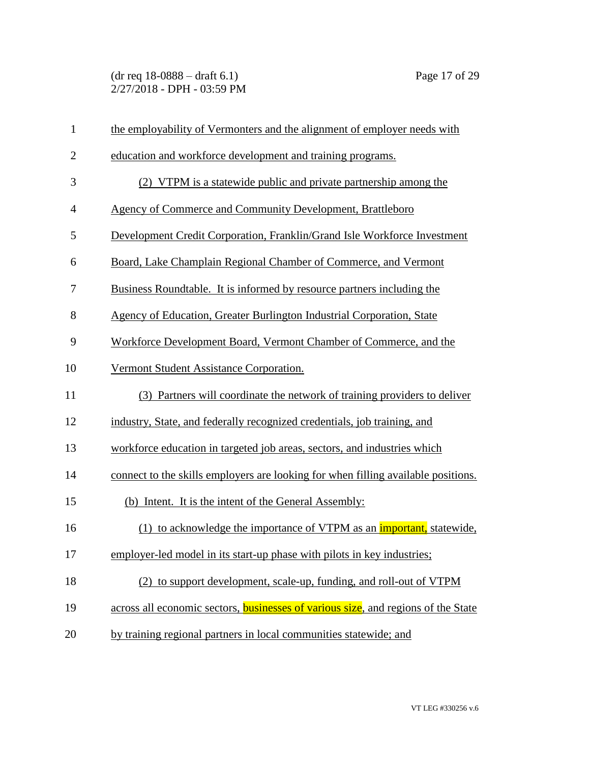(dr req 18-0888 – draft 6.1) Page 17 of 29 2/27/2018 - DPH - 03:59 PM

| $\mathbf{1}$   | the employability of Vermonters and the alignment of employer needs with                  |
|----------------|-------------------------------------------------------------------------------------------|
| $\mathbf{2}$   | education and workforce development and training programs.                                |
| 3              | (2) VTPM is a statewide public and private partnership among the                          |
| $\overline{4}$ | <b>Agency of Commerce and Community Development, Brattleboro</b>                          |
| 5              | Development Credit Corporation, Franklin/Grand Isle Workforce Investment                  |
| 6              | Board, Lake Champlain Regional Chamber of Commerce, and Vermont                           |
| 7              | Business Roundtable. It is informed by resource partners including the                    |
| 8              | Agency of Education, Greater Burlington Industrial Corporation, State                     |
| 9              | Workforce Development Board, Vermont Chamber of Commerce, and the                         |
| 10             | Vermont Student Assistance Corporation.                                                   |
| 11             | (3) Partners will coordinate the network of training providers to deliver                 |
| 12             | industry, State, and federally recognized credentials, job training, and                  |
| 13             | workforce education in targeted job areas, sectors, and industries which                  |
| 14             | connect to the skills employers are looking for when filling available positions.         |
| 15             | (b) Intent. It is the intent of the General Assembly:                                     |
| 16             | (1) to acknowledge the importance of VTPM as an <i>important</i> , statewide,             |
| 17             | employer-led model in its start-up phase with pilots in key industries;                   |
| 18             | (2) to support development, scale-up, funding, and roll-out of VTPM                       |
| 19             | across all economic sectors, <b>businesses of various size</b> , and regions of the State |
| 20             | by training regional partners in local communities statewide; and                         |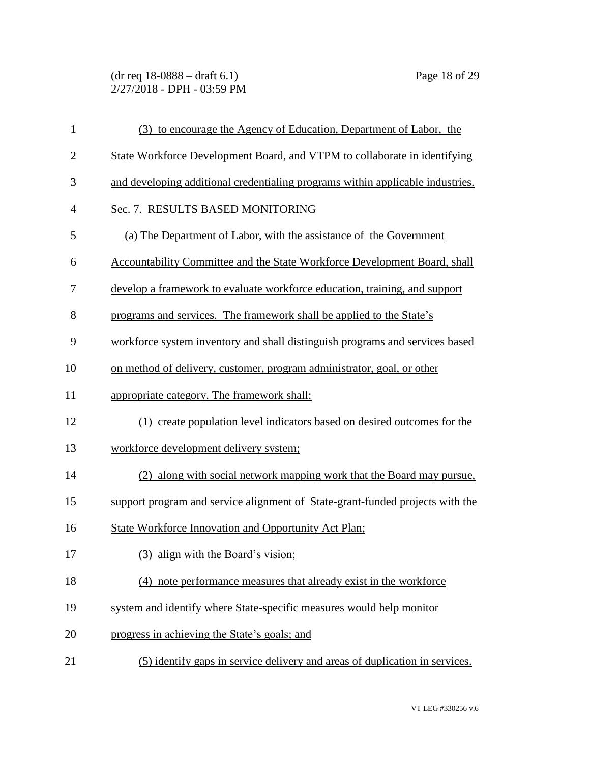(dr req 18-0888 – draft 6.1) Page 18 of 29 2/27/2018 - DPH - 03:59 PM

| $\mathbf{1}$   | (3) to encourage the Agency of Education, Department of Labor, the             |
|----------------|--------------------------------------------------------------------------------|
| $\overline{2}$ | State Workforce Development Board, and VTPM to collaborate in identifying      |
| 3              | and developing additional credentialing programs within applicable industries. |
| $\overline{4}$ | Sec. 7. RESULTS BASED MONITORING                                               |
| 5              | (a) The Department of Labor, with the assistance of the Government             |
| 6              | Accountability Committee and the State Workforce Development Board, shall      |
| 7              | develop a framework to evaluate workforce education, training, and support     |
| 8              | programs and services. The framework shall be applied to the State's           |
| 9              | workforce system inventory and shall distinguish programs and services based   |
| 10             | on method of delivery, customer, program administrator, goal, or other         |
| 11             | appropriate category. The framework shall:                                     |
| 12             | (1) create population level indicators based on desired outcomes for the       |
| 13             | workforce development delivery system;                                         |
| 14             | (2) along with social network mapping work that the Board may pursue,          |
| 15             | support program and service alignment of State-grant-funded projects with the  |
| 16             | State Workforce Innovation and Opportunity Act Plan;                           |
| 17             | (3) align with the Board's vision;                                             |
| 18             | (4) note performance measures that already exist in the workforce              |
| 19             | system and identify where State-specific measures would help monitor           |
| 20             | progress in achieving the State's goals; and                                   |
| 21             | (5) identify gaps in service delivery and areas of duplication in services.    |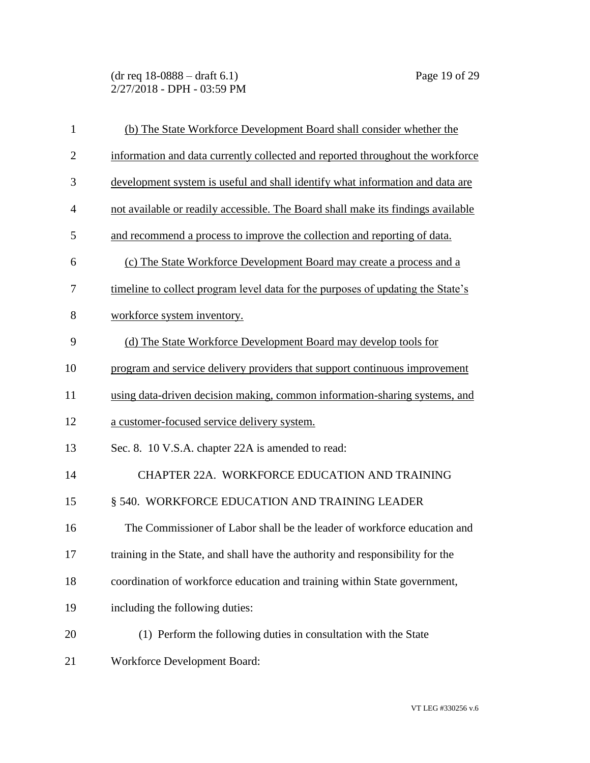(dr req 18-0888 – draft 6.1) Page 19 of 29 2/27/2018 - DPH - 03:59 PM

| $\mathbf{1}$   | (b) The State Workforce Development Board shall consider whether the             |
|----------------|----------------------------------------------------------------------------------|
| $\mathbf{2}$   | information and data currently collected and reported throughout the workforce   |
| 3              | development system is useful and shall identify what information and data are    |
| $\overline{4}$ | not available or readily accessible. The Board shall make its findings available |
| 5              | and recommend a process to improve the collection and reporting of data.         |
| 6              | (c) The State Workforce Development Board may create a process and a             |
| 7              | timeline to collect program level data for the purposes of updating the State's  |
| 8              | workforce system inventory.                                                      |
| 9              | (d) The State Workforce Development Board may develop tools for                  |
| 10             | program and service delivery providers that support continuous improvement       |
| 11             | using data-driven decision making, common information-sharing systems, and       |
| 12             | a customer-focused service delivery system.                                      |
| 13             | Sec. 8. 10 V.S.A. chapter 22A is amended to read:                                |
| 14             | CHAPTER 22A. WORKFORCE EDUCATION AND TRAINING                                    |
| 15             | § 540. WORKFORCE EDUCATION AND TRAINING LEADER                                   |
| 16             | The Commissioner of Labor shall be the leader of workforce education and         |
| 17             | training in the State, and shall have the authority and responsibility for the   |
| 18             | coordination of workforce education and training within State government,        |
| 19             | including the following duties:                                                  |
| 20             | (1) Perform the following duties in consultation with the State                  |
| 21             | <b>Workforce Development Board:</b>                                              |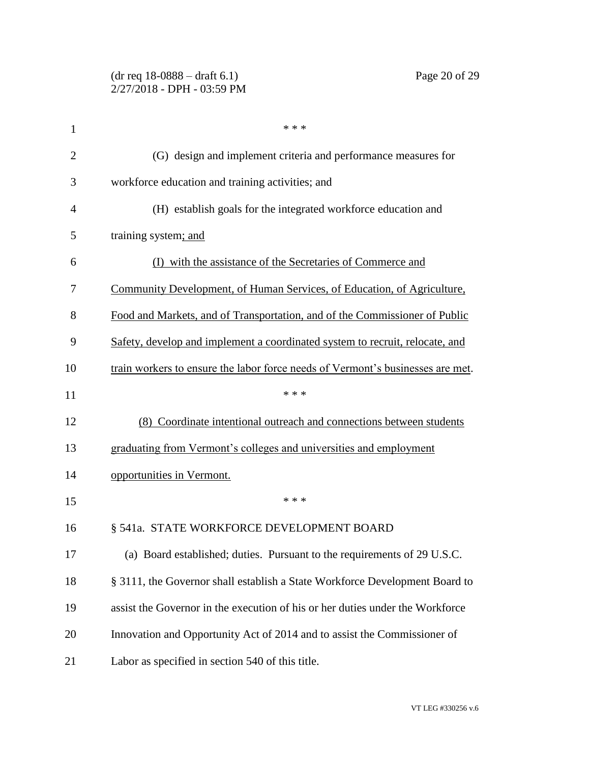| 1              | * * *                                                                          |
|----------------|--------------------------------------------------------------------------------|
| $\overline{2}$ | (G) design and implement criteria and performance measures for                 |
| 3              | workforce education and training activities; and                               |
| 4              | (H) establish goals for the integrated workforce education and                 |
| 5              | training system; and                                                           |
| 6              | (I) with the assistance of the Secretaries of Commerce and                     |
| 7              | Community Development, of Human Services, of Education, of Agriculture,        |
| 8              | Food and Markets, and of Transportation, and of the Commissioner of Public     |
| 9              | Safety, develop and implement a coordinated system to recruit, relocate, and   |
| 10             | train workers to ensure the labor force needs of Vermont's businesses are met. |
| 11             | * * *                                                                          |
| 12             | (8) Coordinate intentional outreach and connections between students           |
| 13             | graduating from Vermont's colleges and universities and employment             |
| 14             | opportunities in Vermont.                                                      |
| 15             | * * *                                                                          |
| 16             | § 541a. STATE WORKFORCE DEVELOPMENT BOARD                                      |
| 17             | (a) Board established; duties. Pursuant to the requirements of 29 U.S.C.       |
| 18             | § 3111, the Governor shall establish a State Workforce Development Board to    |
| 19             | assist the Governor in the execution of his or her duties under the Workforce  |
| 20             | Innovation and Opportunity Act of 2014 and to assist the Commissioner of       |
| 21             | Labor as specified in section 540 of this title.                               |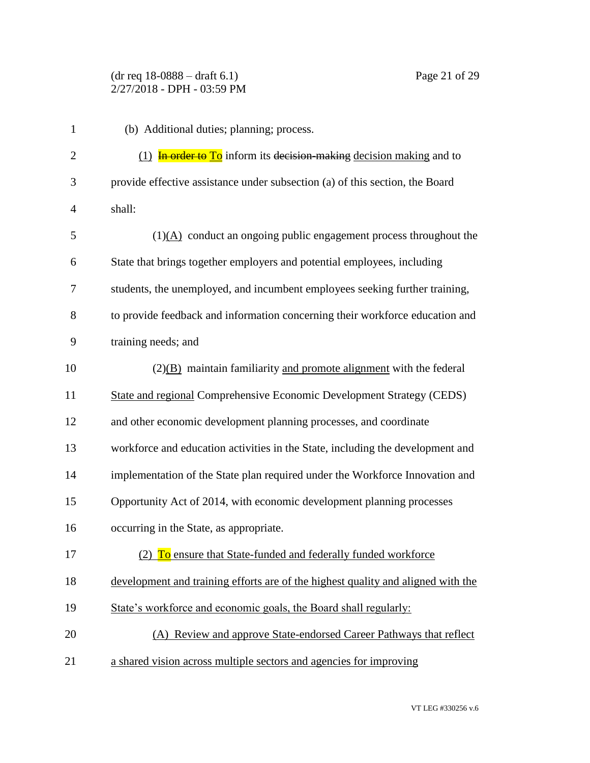(dr req 18-0888 – draft 6.1) Page 21 of 29 2/27/2018 - DPH - 03:59 PM

| $\mathbf{1}$   | (b) Additional duties; planning; process.                                        |
|----------------|----------------------------------------------------------------------------------|
| $\overline{2}$ | $(1)$ In order to To inform its decision-making decision making and to           |
| 3              | provide effective assistance under subsection (a) of this section, the Board     |
| $\overline{4}$ | shall:                                                                           |
| 5              | $(1)(\underline{A})$ conduct an ongoing public engagement process throughout the |
| 6              | State that brings together employers and potential employees, including          |
| 7              | students, the unemployed, and incumbent employees seeking further training,      |
| 8              | to provide feedback and information concerning their workforce education and     |
| 9              | training needs; and                                                              |
| 10             | $(2)(B)$ maintain familiarity and promote alignment with the federal             |
| 11             | <b>State and regional Comprehensive Economic Development Strategy (CEDS)</b>     |
| 12             | and other economic development planning processes, and coordinate                |
| 13             | workforce and education activities in the State, including the development and   |
| 14             | implementation of the State plan required under the Workforce Innovation and     |
| 15             | Opportunity Act of 2014, with economic development planning processes            |
| 16             | occurring in the State, as appropriate.                                          |
| 17             | (2) To ensure that State-funded and federally funded workforce                   |
| 18             | development and training efforts are of the highest quality and aligned with the |
| 19             | State's workforce and economic goals, the Board shall regularly:                 |
| 20             | (A) Review and approve State-endorsed Career Pathways that reflect               |
| 21             | a shared vision across multiple sectors and agencies for improving               |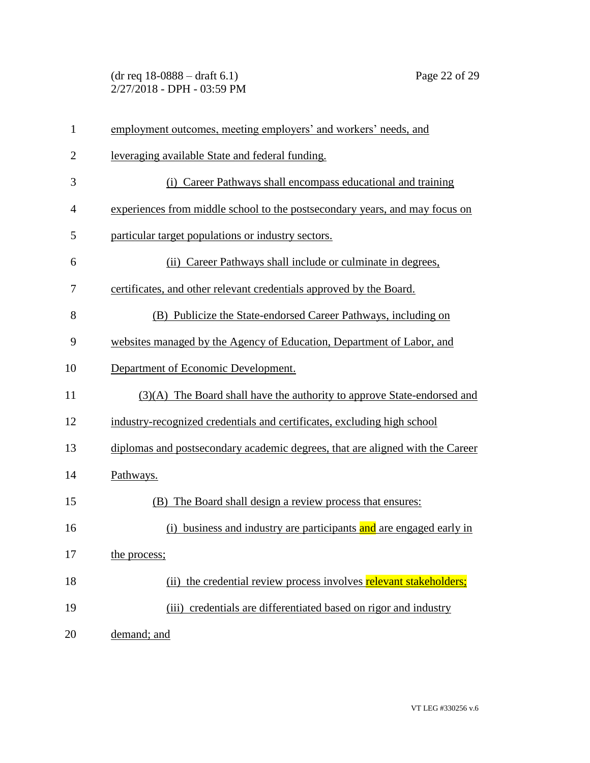(dr req 18-0888 – draft 6.1) Page 22 of 29 2/27/2018 - DPH - 03:59 PM

| $\mathbf{1}$   | employment outcomes, meeting employers' and workers' needs, and               |
|----------------|-------------------------------------------------------------------------------|
| $\overline{2}$ | leveraging available State and federal funding.                               |
| 3              | (i) Career Pathways shall encompass educational and training                  |
| 4              | experiences from middle school to the postsecondary years, and may focus on   |
| 5              | particular target populations or industry sectors.                            |
| 6              | (ii) Career Pathways shall include or culminate in degrees,                   |
| 7              | certificates, and other relevant credentials approved by the Board.           |
| 8              | (B) Publicize the State-endorsed Career Pathways, including on                |
| 9              | websites managed by the Agency of Education, Department of Labor, and         |
| 10             | Department of Economic Development.                                           |
| 11             | (3)(A) The Board shall have the authority to approve State-endorsed and       |
| 12             | industry-recognized credentials and certificates, excluding high school       |
| 13             | diplomas and postsecondary academic degrees, that are aligned with the Career |
| 14             | Pathways.                                                                     |
| 15             | (B) The Board shall design a review process that ensures:                     |
| 16             | (i) business and industry are participants and are engaged early in           |
| 17             | the process;                                                                  |
| 18             | the credential review process involves relevant stakeholders;<br>(ii)         |
| 19             | (iii) credentials are differentiated based on rigor and industry              |
| 20             | demand; and                                                                   |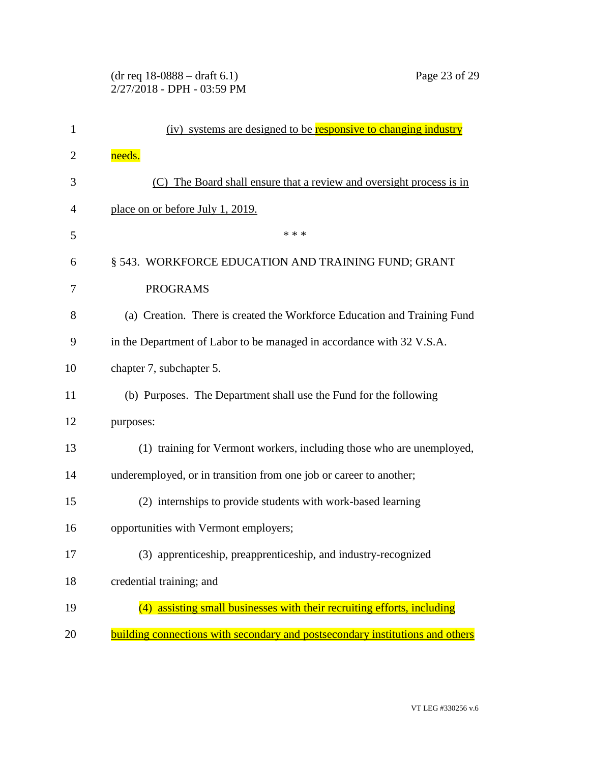(dr req 18-0888 – draft 6.1) Page 23 of 29 2/27/2018 - DPH - 03:59 PM

| 1              | (iv) systems are designed to be responsive to changing industry               |
|----------------|-------------------------------------------------------------------------------|
| $\overline{2}$ | needs.                                                                        |
| 3              | The Board shall ensure that a review and oversight process is in<br>(C)       |
| 4              | place on or before July 1, 2019.                                              |
| 5              | * * *                                                                         |
| 6              | § 543. WORKFORCE EDUCATION AND TRAINING FUND; GRANT                           |
| 7              | <b>PROGRAMS</b>                                                               |
| 8              | (a) Creation. There is created the Workforce Education and Training Fund      |
| 9              | in the Department of Labor to be managed in accordance with 32 V.S.A.         |
| 10             | chapter 7, subchapter 5.                                                      |
| 11             | (b) Purposes. The Department shall use the Fund for the following             |
| 12             | purposes:                                                                     |
| 13             | (1) training for Vermont workers, including those who are unemployed,         |
| 14             | underemployed, or in transition from one job or career to another;            |
| 15             | (2) internships to provide students with work-based learning                  |
| 16             | opportunities with Vermont employers;                                         |
| 17             | (3) apprenticeship, preapprenticeship, and industry-recognized                |
| 18             | credential training; and                                                      |
| 19             | (4) assisting small businesses with their recruiting efforts, including       |
| 20             | building connections with secondary and postsecondary institutions and others |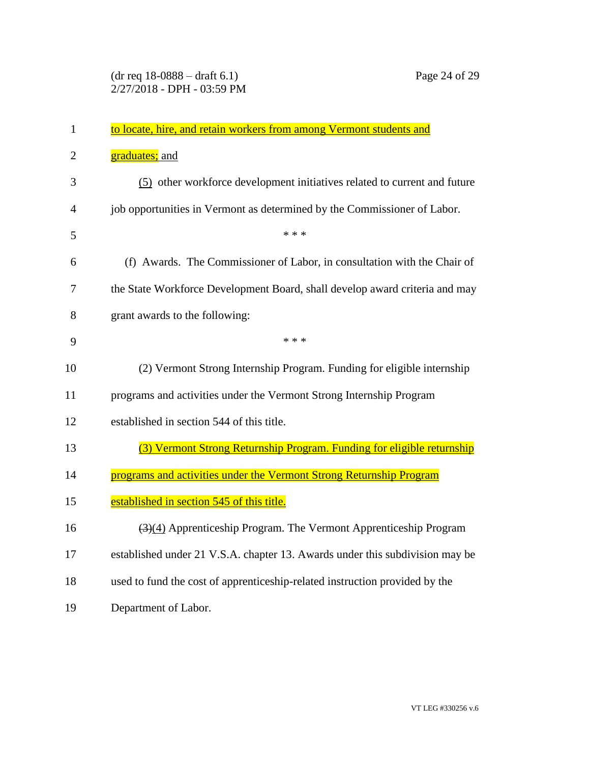| $\mathbf{1}$   | to locate, hire, and retain workers from among Vermont students and          |
|----------------|------------------------------------------------------------------------------|
| $\overline{2}$ | graduates; and                                                               |
| 3              | (5) other workforce development initiatives related to current and future    |
| 4              | job opportunities in Vermont as determined by the Commissioner of Labor.     |
| 5              | * * *                                                                        |
| 6              | (f) Awards. The Commissioner of Labor, in consultation with the Chair of     |
| 7              | the State Workforce Development Board, shall develop award criteria and may  |
| 8              | grant awards to the following:                                               |
| 9              | * * *                                                                        |
| 10             | (2) Vermont Strong Internship Program. Funding for eligible internship       |
| 11             | programs and activities under the Vermont Strong Internship Program          |
| 12             | established in section 544 of this title.                                    |
| 13             | (3) Vermont Strong Returnship Program. Funding for eligible returnship       |
| 14             | programs and activities under the Vermont Strong Returnship Program          |
| 15             | established in section 545 of this title.                                    |
| 16             | (3)(4) Apprenticeship Program. The Vermont Apprenticeship Program            |
| 17             | established under 21 V.S.A. chapter 13. Awards under this subdivision may be |
| 18             | used to fund the cost of apprenticeship-related instruction provided by the  |
| 19             | Department of Labor.                                                         |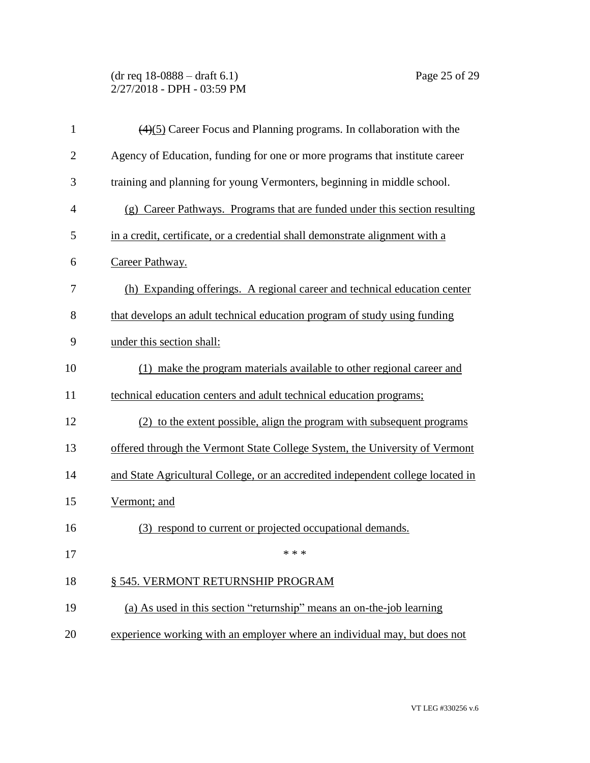(dr req 18-0888 – draft 6.1) Page 25 of 29 2/27/2018 - DPH - 03:59 PM

| $\mathbf{1}$   | $(4)(5)$ Career Focus and Planning programs. In collaboration with the          |
|----------------|---------------------------------------------------------------------------------|
| $\overline{2}$ | Agency of Education, funding for one or more programs that institute career     |
| 3              | training and planning for young Vermonters, beginning in middle school.         |
| $\overline{4}$ | (g) Career Pathways. Programs that are funded under this section resulting      |
| 5              | in a credit, certificate, or a credential shall demonstrate alignment with a    |
| 6              | Career Pathway.                                                                 |
| 7              | (h) Expanding offerings. A regional career and technical education center       |
| 8              | that develops an adult technical education program of study using funding       |
| 9              | under this section shall:                                                       |
| 10             | (1) make the program materials available to other regional career and           |
| 11             | technical education centers and adult technical education programs;             |
| 12             | (2) to the extent possible, align the program with subsequent programs          |
| 13             | offered through the Vermont State College System, the University of Vermont     |
| 14             | and State Agricultural College, or an accredited independent college located in |
| 15             | Vermont; and                                                                    |
| 16             | (3) respond to current or projected occupational demands.                       |
| 17             | * * *                                                                           |
| 18             | § 545. VERMONT RETURNSHIP PROGRAM                                               |
| 19             | (a) As used in this section "returnship" means an on-the-job learning           |
| 20             | experience working with an employer where an individual may, but does not       |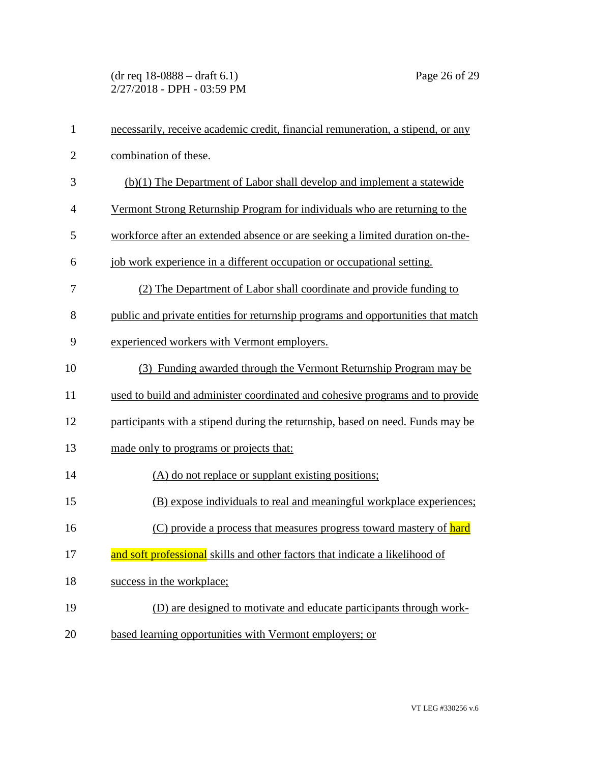(dr req 18-0888 – draft 6.1) Page 26 of 29 2/27/2018 - DPH - 03:59 PM

| $\mathbf{1}$   | necessarily, receive academic credit, financial remuneration, a stipend, or any  |
|----------------|----------------------------------------------------------------------------------|
| $\overline{2}$ | combination of these.                                                            |
| 3              | (b)(1) The Department of Labor shall develop and implement a statewide           |
| $\overline{4}$ | Vermont Strong Returnship Program for individuals who are returning to the       |
| 5              | workforce after an extended absence or are seeking a limited duration on-the-    |
| 6              | job work experience in a different occupation or occupational setting.           |
| 7              | (2) The Department of Labor shall coordinate and provide funding to              |
| 8              | public and private entities for returnship programs and opportunities that match |
| 9              | experienced workers with Vermont employers.                                      |
| 10             | (3) Funding awarded through the Vermont Returnship Program may be                |
| 11             | used to build and administer coordinated and cohesive programs and to provide    |
| 12             | participants with a stipend during the returnship, based on need. Funds may be   |
| 13             | made only to programs or projects that:                                          |
| 14             | (A) do not replace or supplant existing positions;                               |
| 15             | (B) expose individuals to real and meaningful workplace experiences;             |
| 16             | (C) provide a process that measures progress toward mastery of hard              |
| 17             | and soft professional skills and other factors that indicate a likelihood of     |
| 18             | success in the workplace;                                                        |
| 19             | (D) are designed to motivate and educate participants through work-              |
| 20             | based learning opportunities with Vermont employers; or                          |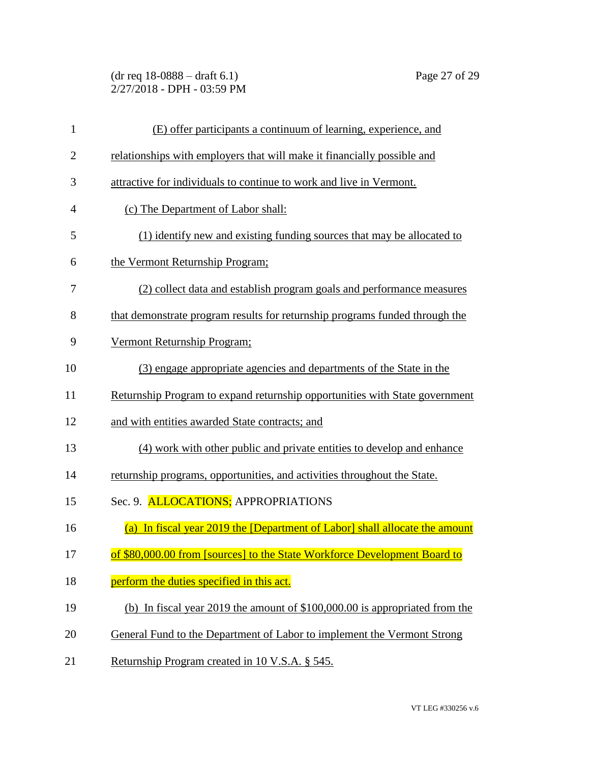(dr req 18-0888 – draft 6.1) Page 27 of 29 2/27/2018 - DPH - 03:59 PM

| $\mathbf{1}$   | (E) offer participants a continuum of learning, experience, and                |
|----------------|--------------------------------------------------------------------------------|
| $\overline{2}$ | relationships with employers that will make it financially possible and        |
| 3              | attractive for individuals to continue to work and live in Vermont.            |
| $\overline{4}$ | (c) The Department of Labor shall:                                             |
| 5              | (1) identify new and existing funding sources that may be allocated to         |
| 6              | the Vermont Returnship Program;                                                |
| 7              | (2) collect data and establish program goals and performance measures          |
| 8              | that demonstrate program results for returnship programs funded through the    |
| 9              | Vermont Returnship Program;                                                    |
| 10             | (3) engage appropriate agencies and departments of the State in the            |
| 11             | Returnship Program to expand returnship opportunities with State government    |
| 12             | and with entities awarded State contracts; and                                 |
| 13             | (4) work with other public and private entities to develop and enhance         |
| 14             | returnship programs, opportunities, and activities throughout the State.       |
| 15             | Sec. 9. ALLOCATIONS; APPROPRIATIONS                                            |
| 16             | In fiscal year 2019 the [Department of Labor] shall allocate the amount<br>(a) |
| 17             | of \$80,000.00 from [sources] to the State Workforce Development Board to      |
| 18             | perform the duties specified in this act.                                      |
| 19             | (b) In fiscal year 2019 the amount of $$100,000.00$ is appropriated from the   |
| 20             | General Fund to the Department of Labor to implement the Vermont Strong        |
| 21             | Returnship Program created in 10 V.S.A. § 545.                                 |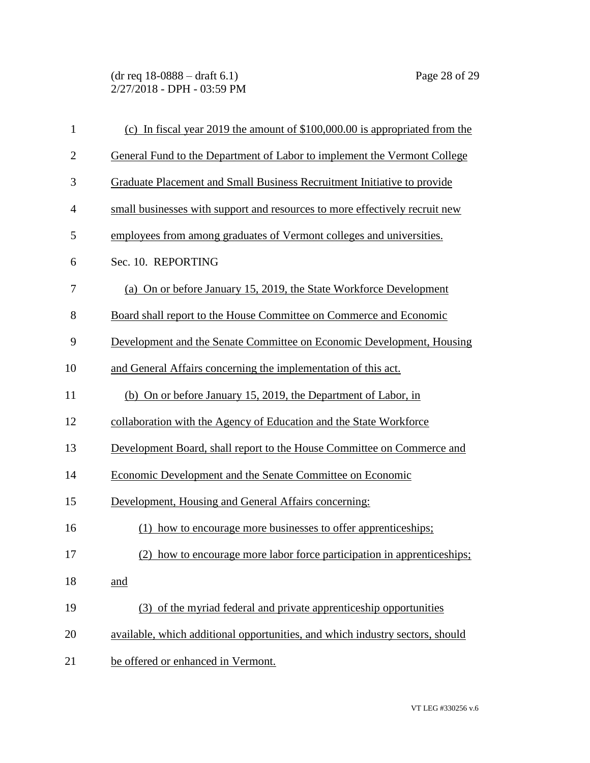(dr req 18-0888 – draft 6.1) Page 28 of 29 2/27/2018 - DPH - 03:59 PM

| $\mathbf{1}$   | (c) In fiscal year 2019 the amount of $$100,000.00$ is appropriated from the  |
|----------------|-------------------------------------------------------------------------------|
| $\overline{2}$ | General Fund to the Department of Labor to implement the Vermont College      |
| 3              | Graduate Placement and Small Business Recruitment Initiative to provide       |
| 4              | small businesses with support and resources to more effectively recruit new   |
| 5              | employees from among graduates of Vermont colleges and universities.          |
| 6              | Sec. 10. REPORTING                                                            |
| 7              | (a) On or before January 15, 2019, the State Workforce Development            |
| 8              | Board shall report to the House Committee on Commerce and Economic            |
| 9              | Development and the Senate Committee on Economic Development, Housing         |
| 10             | and General Affairs concerning the implementation of this act.                |
| 11             | (b) On or before January 15, 2019, the Department of Labor, in                |
| 12             | collaboration with the Agency of Education and the State Workforce            |
| 13             | Development Board, shall report to the House Committee on Commerce and        |
| 14             | Economic Development and the Senate Committee on Economic                     |
| 15             | Development, Housing and General Affairs concerning:                          |
| 16             | how to encourage more businesses to offer apprenticeships;                    |
| 17             | (2) how to encourage more labor force participation in apprenticeships;       |
| 18             | and                                                                           |
| 19             | (3) of the myriad federal and private apprenticeship opportunities            |
| 20             | available, which additional opportunities, and which industry sectors, should |
| 21             | be offered or enhanced in Vermont.                                            |